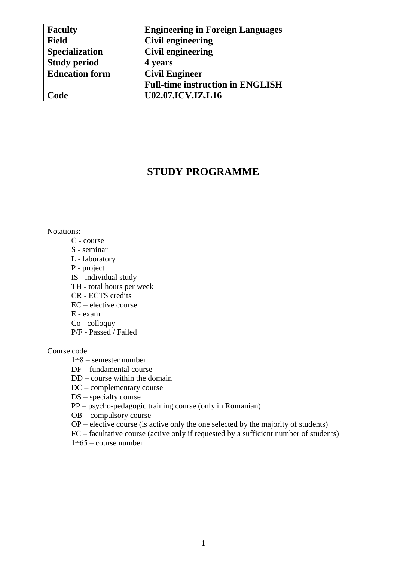| <b>Faculty</b>        | <b>Engineering in Foreign Languages</b> |
|-----------------------|-----------------------------------------|
| <b>Field</b>          | <b>Civil engineering</b>                |
| <b>Specialization</b> | Civil engineering                       |
| <b>Study period</b>   | 4 years                                 |
| <b>Education form</b> | <b>Civil Engineer</b>                   |
|                       | <b>Full-time instruction in ENGLISH</b> |
| Code                  | <b>U02.07.ICV.IZ.L16</b>                |

## **STUDY PROGRAMME**

### Notations:

- C course
- S seminar
- L laboratory
- P project
- $IS individual study$
- TH total hours per week
- CR ECTS credits
- EC elective course
- E exam
- Co colloquy
- P/F Passed / Failed

#### Course code:

- $1\div 8$  semester number
- DF fundamental course
- DD course within the domain
- DC complementary course
- DS specialty course
- PP psycho-pedagogic training course (only in Romanian)
- $OB$  compulsory course
- OP elective course (is active only the one selected by the majority of students)
- FC facultative course (active only if requested by a sufficient number of students)
- $1\div 65$  course number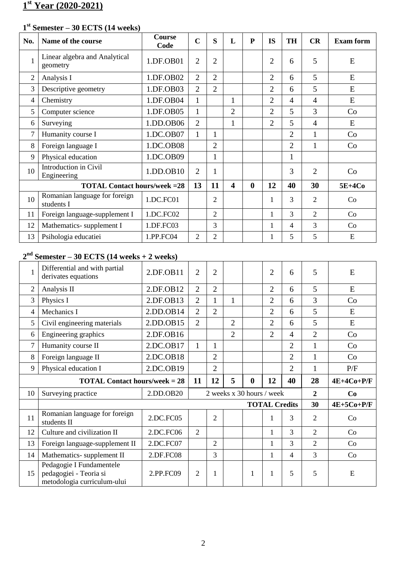# **st Year (2020-2021)**

## **st Semester – 30 ECTS (14 weeks)**

| No. | Name of the course                          | <b>Course</b><br>Code | $\overline{C}$ | S              | L | P            | <b>IS</b>      | <b>TH</b> | CR             | <b>Exam form</b> |
|-----|---------------------------------------------|-----------------------|----------------|----------------|---|--------------|----------------|-----------|----------------|------------------|
|     | Linear algebra and Analytical<br>geometry   | 1.DF.OB01             | $\overline{2}$ | $\overline{2}$ |   |              | $\overline{2}$ | 6         | 5              | E                |
| 2   | Analysis I                                  | 1.DF.OB02             | $\overline{2}$ | $\overline{2}$ |   |              | $\overline{2}$ | 6         | 5              | E                |
| 3   | Descriptive geometry                        | 1.DF.OB03             | $\overline{2}$ | $\overline{2}$ |   |              | $\overline{2}$ | 6         | 5              | E                |
| 4   | Chemistry                                   | 1.DF.OB04             | 1              |                | 1 |              | $\overline{2}$ | 4         | $\overline{4}$ | E                |
| 5   | Computer science                            | 1.DF.OB05             | 1              |                | 2 |              | $\overline{2}$ | 5         | 3              | Co               |
| 6   | Surveying                                   | 1.DD.OB06             | $\overline{2}$ |                | 1 |              | $\overline{2}$ | 5         | $\overline{4}$ | E                |
| 7   | Humanity course I                           | 1.DC.OB07             | 1              |                |   |              |                | 2         | 1              | Co               |
| 8   | Foreign language I                          | 1.DC.OB08             |                | $\overline{2}$ |   |              |                | 2         | 1              | Co               |
| 9   | Physical education                          | 1.DC.OB09             |                |                |   |              |                |           |                |                  |
| 10  | Introduction in Civil<br>Engineering        | 1.DD.OB10             | $\overline{2}$ |                |   |              |                | 3         | $\overline{2}$ | Co               |
|     | <b>TOTAL Contact hours/week = 28</b>        |                       | 13             | 11             | 4 | $\mathbf{0}$ | 12             | 40        | 30             | 5E+4Co           |
| 10  | Romanian language for foreign<br>students I | 1.DC.FC01             |                | $\overline{2}$ |   |              | 1              | 3         | $\overline{2}$ | Co               |
| 11  | Foreign language-supplement I               | 1.DC.FC02             |                | 2              |   |              | 1              | 3         | $\overline{2}$ | Co               |
| 12  | Mathematics-supplement I                    | 1.DF.FC03             |                | 3              |   |              | 1              | 4         | 3              | Co               |
| 13  | Psihologia educatiei                        | 1.PP.FC04             | 2              | 2              |   |              |                | 5         | 5              | E                |

## **nd Semester – 30 ECTS (14 weeks + 2 weeks)**

| 1                                    | Differential and with partial<br>derivates equations | 2.DF.OB11 | $\overline{2}$ | $\overline{2}$ |                |             | $\overline{2}$            | 6              | 5              | E            |
|--------------------------------------|------------------------------------------------------|-----------|----------------|----------------|----------------|-------------|---------------------------|----------------|----------------|--------------|
| $\overline{2}$                       | Analysis II                                          | 2.DF.OB12 | $\overline{2}$ | $\overline{2}$ |                |             | $\overline{2}$            | 6              | 5              | E            |
| 3                                    | Physics I                                            | 2.DF.OB13 | $\overline{2}$ |                | 1              |             | $\overline{2}$            | 6              | 3              | Co           |
| 4                                    | Mechanics I                                          | 2.DD.OB14 | $\overline{2}$ | $\overline{2}$ |                |             | $\overline{2}$            | 6              | 5              | E            |
| 5                                    | Civil engineering materials                          | 2.DD.OB15 | $\overline{2}$ |                | $\overline{2}$ |             | $\overline{2}$            | 6              | 5              | E            |
| 6                                    | Engineering graphics                                 | 2.DF.OB16 |                |                | $\overline{2}$ |             | $\overline{2}$            | $\overline{4}$ | $\overline{2}$ | Co           |
| $\overline{7}$                       | Humanity course II                                   | 2.DC.OB17 | $\mathbf{1}$   | 1              |                |             |                           | $\overline{2}$ | $\mathbf{1}$   | Co           |
| 8                                    | Foreign language II                                  | 2.DC.OB18 |                | $\overline{2}$ |                |             |                           | $\overline{2}$ | $\mathbf{1}$   | Co           |
| 9                                    | Physical education I                                 | 2.DC.OB19 |                | $\overline{2}$ |                |             |                           | 2              | 1              | P/F          |
| <b>TOTAL Contact hours/week = 28</b> |                                                      |           |                |                |                |             |                           |                |                |              |
|                                      |                                                      |           | 11             | 12             | 5              | $\mathbf 0$ | 12                        | 40             | 28             | $4E+4Co+P/F$ |
| 10                                   | Surveying practice                                   | 2.DD.OB20 |                |                |                |             | 2 weeks x 30 hours / week |                | $\overline{2}$ | Co           |
|                                      |                                                      |           |                |                |                |             | <b>TOTAL Credits</b>      |                | 30             | $4E+5Co+P/F$ |
| 11                                   | Romanian language for foreign<br>students II         | 2.DC.FC05 |                | $\overline{2}$ |                |             | $\mathbf{1}$              | 3              | $\overline{2}$ | Co           |
| 12                                   | Culture and civilization II                          | 2.DC.FC06 | 2              |                |                |             | 1                         | 3              | $\overline{2}$ | Co           |
| 13                                   | Foreign language-supplement II                       | 2.DC.FC07 |                | $\overline{2}$ |                |             | 1                         | 3              | $\overline{2}$ | Co           |
| 14                                   | Mathematics-supplement II                            | 2.DF.FC08 |                | 3              |                |             | 1                         | 4              | 3              | Co           |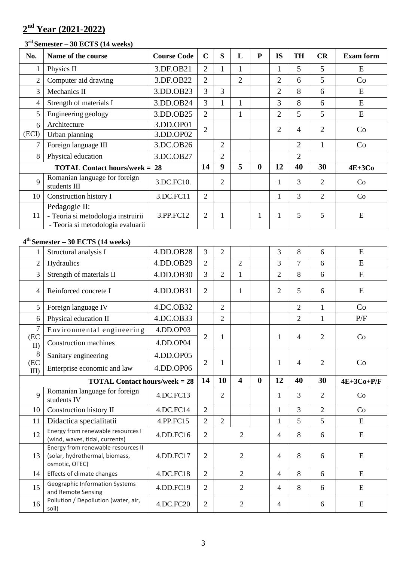# **2 nd Year (2021-2022)**

#### **3 rd Semester – 30 ECTS (14 weeks)**

| No.            | Name of the course                                                                       | <b>Course Code</b> | $\mathbf C$    | S                | L              | $\mathbf{P}$     | <b>IS</b>      | <b>TH</b>      | CR             | <b>Exam form</b> |
|----------------|------------------------------------------------------------------------------------------|--------------------|----------------|------------------|----------------|------------------|----------------|----------------|----------------|------------------|
| 1              | Physics II                                                                               | 3.DF.OB21          | $\overline{2}$ | 1                | 1              |                  | 1              | 5              | 5              | E                |
| $\overline{2}$ | Computer aid drawing                                                                     | 3.DF.OB22          | $\overline{2}$ |                  | $\overline{2}$ |                  | $\overline{2}$ | 6              | 5              | Co               |
| $\overline{3}$ | Mechanics II                                                                             | 3.DD.OB23          | 3              | 3                |                |                  | $\overline{2}$ | 8              | 6              | E                |
| $\overline{4}$ | Strength of materials I                                                                  | 3.DD.OB24          | 3              | $\mathbf{1}$     | $\mathbf{1}$   |                  | 3              | 8              | 6              | E                |
| 5              | Engineering geology                                                                      | 3.DD.OB25          | $\overline{2}$ |                  | $\mathbf{1}$   |                  | $\overline{2}$ | 5              | 5              | E                |
| 6              | Architecture                                                                             | 3.DD.OP01          | $\overline{2}$ |                  |                |                  | $\overline{2}$ | $\overline{4}$ | $\overline{2}$ |                  |
| (ECI)          | Urban planning                                                                           | 3.DD.OP02          |                |                  |                |                  |                |                |                | Co               |
| 7              | Foreign language III                                                                     | 3.DC.OB26          |                | $\overline{2}$   |                |                  |                | $\overline{2}$ | $\mathbf{1}$   | Co               |
| 8              | Physical education                                                                       | 3.DC.OB27          |                | $\overline{2}$   |                |                  |                | $\overline{2}$ |                |                  |
|                | <b>TOTAL Contact hours/week = 28</b>                                                     |                    | 14             | $\boldsymbol{9}$ | 5              | $\boldsymbol{0}$ | 12             | 40             | 30             | $4E+3Co$         |
| 9              | Romanian language for foreign<br>students III                                            | 3.DC.FC10.         |                | $\overline{2}$   |                |                  | 1              | $\overline{3}$ | $\overline{2}$ | Co               |
| 10             | Construction history I                                                                   | 3.DC.FC11          | $\overline{2}$ |                  |                |                  | $\mathbf{1}$   | $\overline{3}$ | $\overline{2}$ | Co               |
| 11             | Pedagogie II:<br>- Teoria si metodologia instruirii<br>- Teoria si metodologia evaluarii | 3.PP.FC12          | $\overline{2}$ | 1                |                | 1                | $\mathbf{1}$   | 5              | 5              | ${\bf E}$        |
|                | $4th$ Semester – 30 ECTS (14 weeks)                                                      |                    |                |                  |                |                  |                |                |                |                  |
|                | Structural analysis I                                                                    | 4.DD.OB28          | $\overline{3}$ | $\overline{2}$   |                |                  | 3              | 8              | 6              | E                |
| $\overline{2}$ | Hydraulics                                                                               | 4.DD.OB29          | $\overline{2}$ |                  | $\overline{2}$ |                  | 3              | $\overline{7}$ | 6              | E                |
| 3              | Strength of materials II                                                                 | 4.DD.OB30          | 3              | $\overline{2}$   | 1              |                  | $\overline{2}$ | 8              | 6              | E                |
| 4              | Reinforced concrete I                                                                    | 4.DD.OB31          | $\overline{2}$ |                  | 1              |                  | $\overline{2}$ | 5              | 6              | E                |
| 5 <sup>5</sup> | Foreign language IV                                                                      | 4.DC.OB32          |                | $\overline{2}$   |                |                  |                | $\overline{2}$ | $\mathbf{1}$   | Co               |
| 6              | Physical education II                                                                    | 4.DC.OB33          |                | $\overline{2}$   |                |                  |                | $\overline{2}$ | $\mathbf{1}$   | P/F              |

|                     | Structural analysis I                                                                        | 4.DD.OB28 | 3              | $\overline{2}$ |                         |              | 3              | 8              | 6              | ${\bf E}$    |
|---------------------|----------------------------------------------------------------------------------------------|-----------|----------------|----------------|-------------------------|--------------|----------------|----------------|----------------|--------------|
| $\overline{2}$      | Hydraulics                                                                                   | 4.DD.OB29 | $\overline{2}$ |                | $\overline{2}$          |              | 3              | $\tau$         | 6              | E            |
| $\overline{3}$      | Strength of materials II                                                                     | 4.DD.OB30 | 3              | $\overline{2}$ |                         |              | $\overline{2}$ | 8              | 6              | E            |
| $\overline{4}$      | Reinforced concrete I                                                                        | 4.DD.OB31 | $\overline{2}$ |                | 1                       |              | $\overline{2}$ | 5              | 6              | ${\bf E}$    |
| 5                   | Foreign language IV                                                                          | 4.DC.OB32 |                | $\overline{2}$ |                         |              |                | $\overline{2}$ | $\mathbf{1}$   | Co           |
| 6                   | Physical education II                                                                        | 4.DC.OB33 |                | $\overline{2}$ |                         |              |                | $\overline{2}$ | $\mathbf{1}$   | P/F          |
| $\overline{7}$      | Environmental engineering                                                                    | 4.DD.OP03 |                |                |                         |              |                |                |                |              |
| (EC<br>$\mathbf{I}$ | <b>Construction machines</b>                                                                 | 4.DD.OP04 | $\overline{2}$ | 1              |                         |              | 1              | $\overline{4}$ | $\overline{2}$ | Co           |
| 8                   | Sanitary engineering                                                                         | 4.DD.OP05 |                |                |                         |              |                |                |                |              |
| (EC<br>$\rm{III}$   | Enterprise economic and law                                                                  | 4.DD.OP06 | 2              | 1              |                         |              | 1              | $\overline{4}$ | $\overline{2}$ | Co           |
|                     | <b>TOTAL Contact hours/week = 28</b>                                                         |           |                |                |                         |              |                |                |                |              |
|                     |                                                                                              |           | 14             | 10             | $\overline{\mathbf{4}}$ | $\mathbf{0}$ | 12             | 40             | 30             | $4E+3Co+P/F$ |
| $\mathbf{Q}$        | Romanian language for foreign<br>students IV                                                 | 4.DC.FC13 |                | $\overline{2}$ |                         |              | 1              | $\overline{3}$ | $\overline{2}$ | Co           |
| 10                  | Construction history II                                                                      | 4.DC.FC14 | $\overline{2}$ |                |                         |              | $\mathbf{1}$   | $\overline{3}$ | $\overline{2}$ | Co           |
| 11                  | Didactica specialitatii                                                                      | 4.PP.FC15 | $\overline{2}$ | $\overline{2}$ |                         |              | $\mathbf{1}$   | 5              | 5              | E            |
| 12                  | Energy from renewable resources I<br>(wind, waves, tidal, currents)                          | 4.DD.FC16 | $\overline{2}$ |                | $\overline{2}$          |              | $\overline{4}$ | 8              | 6              | ${\bf E}$    |
| 13                  | Energy from renewable resources II<br>(solar, hydrothermal, biomass,<br>osmotic, OTEC)       | 4.DD.FC17 | 2              |                | $\overline{2}$          |              | $\overline{4}$ | 8              | 6              | ${\bf E}$    |
| 14                  | Effects of climate changes                                                                   | 4.DC.FC18 | $\overline{2}$ |                | $\overline{2}$          |              | $\overline{4}$ | 8              | 6              | ${\bf E}$    |
| 15                  | Geographic Information Systems<br>and Remote Sensing<br>Pollution / Depollution (water, air, | 4.DD.FC19 | $\overline{2}$ |                | $\overline{2}$          |              | $\overline{4}$ | 8              | 6              | E            |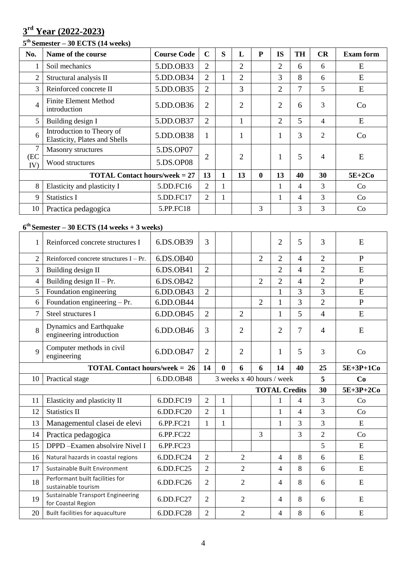# **rd Year (2022-2023)**

### **th Semester – 30 ECTS (14 weeks)**

| No.            | Name of the course                                                | <b>Course Code</b> | $\mathbf C$    | S | L              | P            | <b>IS</b>      | <b>TH</b> | CR | <b>Exam form</b> |
|----------------|-------------------------------------------------------------------|--------------------|----------------|---|----------------|--------------|----------------|-----------|----|------------------|
|                | Soil mechanics                                                    | 5.DD.OB33          | 2              |   | 2              |              | $\overline{2}$ | 6         | 6  | E                |
| $\overline{2}$ | Structural analysis II                                            | 5.DD.OB34          | $\overline{2}$ |   | $\overline{2}$ |              | 3              | 8         | 6  | E                |
| 3              | Reinforced concrete II                                            | 5.DD.OB35          | $\overline{2}$ |   | 3              |              | $\overline{2}$ | 7         | 5  | E                |
| 4              | <b>Finite Element Method</b><br>introduction                      | 5.DD.OB36          | $\overline{2}$ |   | $\overline{2}$ |              | $\overline{2}$ | 6         | 3  | Co               |
| 5              | Building design I                                                 | 5.DD.OB37          | $\overline{2}$ |   |                |              | $\overline{2}$ | 5         | 4  | E                |
| 6              | Introduction to Theory of<br><b>Elasticity, Plates and Shells</b> | 5.DD.OB38          | 1              |   |                |              |                | 3         | 2  | Co               |
| $\overline{7}$ | <b>Masonry structures</b>                                         | 5.DS.OP07          |                |   |                |              |                |           |    |                  |
| (EC<br>IV)     | Wood structures                                                   | 5.DS.OP08          | $\overline{2}$ |   | $\overline{2}$ |              |                | 5         | 4  | E                |
|                | <b>TOTAL Contact hours/week = 27</b>                              |                    | 13             | 1 | 13             | $\mathbf{0}$ | 13             | 40        | 30 | $5E+2Co$         |
| 8              | Elasticity and plasticity I                                       | 5.DD.FC16          | $\overline{2}$ |   |                |              |                | 4         | 3  | Co               |
| 9              | <b>Statistics I</b>                                               | 5.DD.FC17          | 2              |   |                |              |                | 4         | 3  | Co               |
| 10             | Practica pedagogica                                               | 5.PP.FC18          |                |   |                | 3            |                | 3         | 3  | Co               |

### **th Semester – 30 ECTS (14 weeks + 3 weeks)**

| 1                                    | Reinforced concrete structures I                           | 6.DS.OB39 | 3                         |              |                |                | $\overline{2}$       | 5                        | 3              | E              |
|--------------------------------------|------------------------------------------------------------|-----------|---------------------------|--------------|----------------|----------------|----------------------|--------------------------|----------------|----------------|
| $\overline{2}$                       | Reinforced concrete structures $I - Pr$ .                  | 6.DS.OB40 |                           |              |                | $\overline{2}$ | $\overline{2}$       | 4                        | $\overline{2}$ | $\mathbf{P}$   |
| 3                                    | Building design II                                         | 6.DS.OB41 | $\overline{2}$            |              |                |                | $\overline{2}$       | 4                        | $\overline{2}$ | E              |
| 4                                    | Building design $II - Pr$ .                                | 6.DS.OB42 |                           |              |                | $\overline{2}$ | $\overline{2}$       | 4                        | $\overline{2}$ | $\mathbf{P}$   |
| 5                                    | Foundation engineering                                     | 6.DD.OB43 | $\overline{2}$            |              |                |                |                      | 3                        | 3              | ${\bf E}$      |
| 6                                    | Foundation engineering - Pr.                               | 6.DD.OB44 |                           |              |                | $\overline{2}$ | $\mathbf{1}$         | 3                        | $\overline{2}$ | $\overline{P}$ |
| 7                                    | Steel structures I                                         | 6.DD.OB45 | $\overline{2}$            |              | $\overline{2}$ |                | $\mathbf{1}$         | 5                        | $\overline{4}$ | E              |
| 8                                    | <b>Dynamics and Earthquake</b><br>engineering introduction | 6.DD.OB46 | 3                         |              | $\overline{2}$ |                | $\overline{2}$       | 7                        | $\overline{4}$ | ${\bf E}$      |
| $\mathbf Q$                          | Computer methods in civil<br>engineering                   | 6.DD.OB47 | $\overline{2}$            |              | $\overline{2}$ |                | 1                    | 5                        | 3              | Co             |
| <b>TOTAL Contact hours/week = 26</b> |                                                            |           |                           | 0            | 6              | 6              | 14                   | 40                       | 25             | $5E+3P+1Co$    |
|                                      |                                                            |           | 3 weeks x 40 hours / week |              |                |                |                      |                          |                |                |
| 10                                   | Practical stage                                            | 6.DD.OB48 |                           |              |                |                |                      |                          | 5              | Co             |
|                                      |                                                            |           |                           |              |                |                | <b>TOTAL Credits</b> |                          | 30             | 5E+3P+2Co      |
| 11                                   | Elasticity and plasticity II                               | 6.DD.FC19 | $\overline{2}$            | $\mathbf{1}$ |                |                | 1                    | 4                        | 3              | Co             |
| 12                                   | <b>Statistics II</b>                                       | 6.DD.FC20 | $\overline{2}$            | $\mathbf{1}$ |                |                | $\mathbf{1}$         | $\overline{\mathcal{A}}$ | 3              | Co             |
| 13                                   | Managementul clasei de elevi                               | 6.PP.FC21 | $\mathbf{1}$              | $\mathbf{1}$ |                |                | 1                    | 3                        | 3              | ${\bf E}$      |
| 14                                   | Practica pedagogica                                        | 6.PP.FC22 |                           |              |                | 3              |                      | 3                        | $\overline{2}$ | Co             |
| 15                                   | DPPD-Examen absolvire Nivel I                              | 6.PP.FC23 |                           |              |                |                |                      |                          | 5              | E              |
| 16                                   | Natural hazards in coastal regions                         | 6.DD.FC24 | $\overline{2}$            |              | $\overline{2}$ |                | 4                    | 8                        | 6              | E              |
| 17                                   | Sustainable Built Environment                              | 6.DD.FC25 | $\overline{2}$            |              | $\overline{2}$ |                | 4                    | 8                        | 6              | ${\bf E}$      |
| 18                                   | Performant built facilities for<br>sustainable tourism     | 6.DD.FC26 | $\overline{2}$            |              | 2              |                | 4                    | 8                        | 6              | ${\bf E}$      |
| 19                                   | Sustainable Transport Engineering<br>for Coastal Region    | 6.DD.FC27 | $\overline{2}$            |              | $\overline{2}$ |                | 4                    | 8                        | 6              | E              |